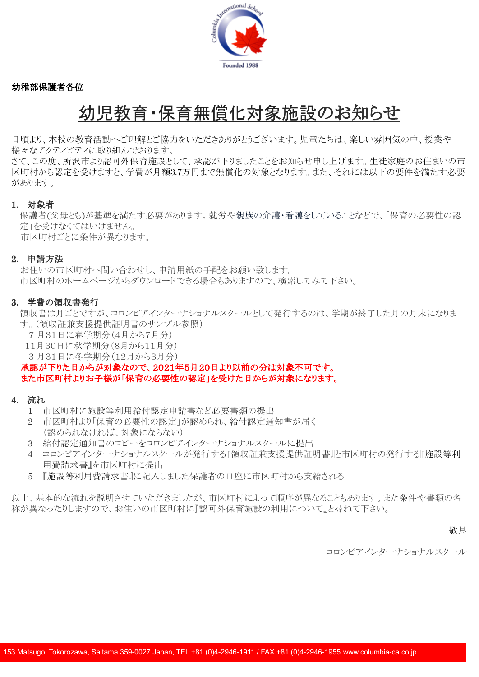

幼稚部保護者各位

# 幼児教育・保育無償化対象施設のお知らせ

日頃より、本校の教育活動へご理解とご協力をいただきありがとうございます。児童たちは、楽しい雰囲気の中、授業や 様々なアクティビティに取り組んでおります。

さて、この度、所沢市より認可外保育施設として、承認が下りましたことをお知らせ申し上げます。生徒家庭のお住まいの市 区町村から認定を受けますと、学費が月額3.7万円まで無償化の対象となります。また、それには以下の要件を満たす必要 があります。

## 1. 対象者

保護者(父母とも)が基準を満たす必要があります。就労や親族の介護・看護をしていることなどで、「保育の必要性の認 定」を受けなくてはいけません。

市区町村ごとに条件が異なります。

## 2. 申請方法

お住いの市区町村へ問い合わせし、申請用紙の手配をお願い致します。 市区町村のホームページからダウンロードできる場合もありますので、検索してみて下さい。

## 3. 学費の領収書発行

領収書は月ごとですが、コロンビアインターナショナルスクールとして発行するのは、学期が終了した月の月末になりま す。(領収証兼支援提供証明書のサンプル参照)

- 7 月31日に春学期分(4月から7月分)
- 11月30日に秋学期分(8月から11月分)
- 3 月31日に冬学期分(12月から3月分)

承認が下りた日からが対象なので、2021年5月20日より以前の分は対象不可です。 また市区町村よりお子様が「保育の必要性の認定」を受けた日からが対象になります。

## 4. 流れ

- 1 市区町村に施設等利用給付認定申請書など必要書類の提出
- 2 市区町村より「保育の必要性の認定」が認められ、給付認定通知書が届く (認められなければ、対象にならない)
- 3 給付認定通知書のコピーをコロンビアインターナショナルスクールに提出
- 4 コロンビアインターナショナルスクールが発行する『領収証兼支援提供証明書』と市区町村の発行する『施設等利 用費請求書』を市区町村に提出
- 5 『施設等利用費請求書』に記入しました保護者の口座に市区町村から支給される

以上、基本的な流れを説明させていただきましたが、市区町村によって順序が異なることもあります。また条件や書類の名 称が異なったりしますので、お住いの市区町村に『認可外保育施設の利用について』と尋ねて下さい。

#### 敬具

コロンビアインターナショナルスクール